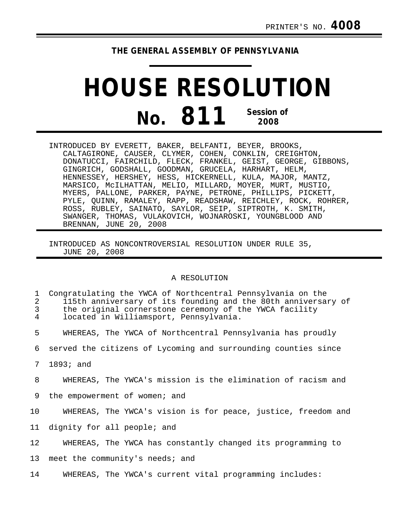## **THE GENERAL ASSEMBLY OF PENNSYLVANIA**

## **HOUSE RESOLUTION No. 811 Session of 2008**

INTRODUCED BY EVERETT, BAKER, BELFANTI, BEYER, BROOKS, CALTAGIRONE, CAUSER, CLYMER, COHEN, CONKLIN, CREIGHTON, DONATUCCI, FAIRCHILD, FLECK, FRANKEL, GEIST, GEORGE, GIBBONS, GINGRICH, GODSHALL, GOODMAN, GRUCELA, HARHART, HELM, HENNESSEY, HERSHEY, HESS, HICKERNELL, KULA, MAJOR, MANTZ, MARSICO, McILHATTAN, MELIO, MILLARD, MOYER, MURT, MUSTIO, MYERS, PALLONE, PARKER, PAYNE, PETRONE, PHILLIPS, PICKETT, PYLE, QUINN, RAMALEY, RAPP, READSHAW, REICHLEY, ROCK, ROHRER, ROSS, RUBLEY, SAINATO, SAYLOR, SEIP, SIPTROTH, K. SMITH, SWANGER, THOMAS, VULAKOVICH, WOJNAROSKI, YOUNGBLOOD AND BRENNAN, JUNE 20, 2008

INTRODUCED AS NONCONTROVERSIAL RESOLUTION UNDER RULE 35, JUNE 20, 2008

## A RESOLUTION

| $\mathbf{1}$<br>2<br>3 <sup>7</sup><br>$\overline{4}$ | Congratulating the YWCA of Northcentral Pennsylvania on the<br>115th anniversary of its founding and the 80th anniversary of<br>the original cornerstone ceremony of the YWCA facility<br>located in Williamsport, Pennsylvania. |
|-------------------------------------------------------|----------------------------------------------------------------------------------------------------------------------------------------------------------------------------------------------------------------------------------|
| 5                                                     | WHEREAS, The YWCA of Northcentral Pennsylvania has proudly                                                                                                                                                                       |
|                                                       | 6 served the citizens of Lycoming and surrounding counties since                                                                                                                                                                 |
|                                                       | 7 1893; and                                                                                                                                                                                                                      |
| 8                                                     | WHEREAS, The YWCA's mission is the elimination of racism and                                                                                                                                                                     |
| 9                                                     | the empowerment of women; and                                                                                                                                                                                                    |

- 10 WHEREAS, The YWCA's vision is for peace, justice, freedom and
- 11 dignity for all people; and
- 12 WHEREAS, The YWCA has constantly changed its programming to
- 13 meet the community's needs; and
- 14 WHEREAS, The YWCA's current vital programming includes: